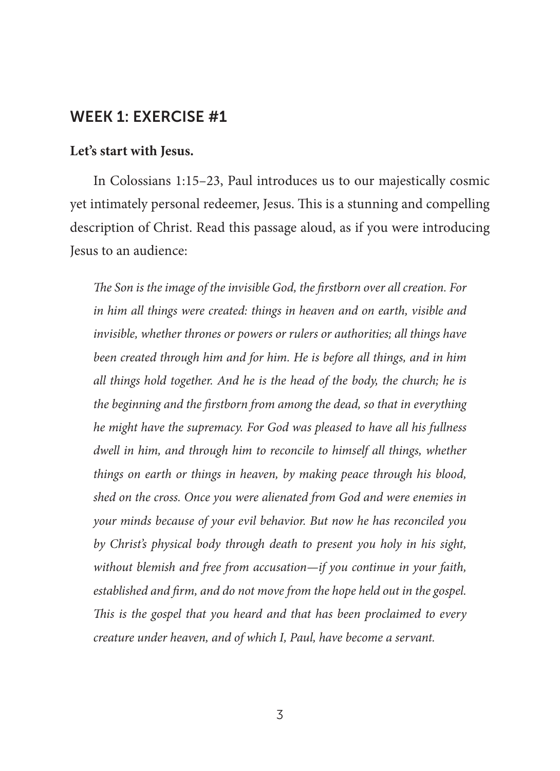#### **Let's start with Jesus.**

In Colossians 1:15–23, Paul introduces us to our majestically cosmic yet intimately personal redeemer, Jesus. This is a stunning and compelling description of Christ. Read this passage aloud, as if you were introducing Jesus to an audience:

*The Son is the image of the invisible God, the firstborn over all creation. For in him all things were created: things in heaven and on earth, visible and invisible, whether thrones or powers or rulers or authorities; all things have been created through him and for him. He is before all things, and in him all things hold together. And he is the head of the body, the church; he is the beginning and the firstborn from among the dead, so that in everything he might have the supremacy. For God was pleased to have all his fullness dwell in him, and through him to reconcile to himself all things, whether things on earth or things in heaven, by making peace through his blood, shed on the cross. Once you were alienated from God and were enemies in your minds because of your evil behavior. But now he has reconciled you by Christ's physical body through death to present you holy in his sight, without blemish and free from accusation—if you continue in your faith, established and firm, and do not move from the hope held out in the gospel. This is the gospel that you heard and that has been proclaimed to every creature under heaven, and of which I, Paul, have become a servant.*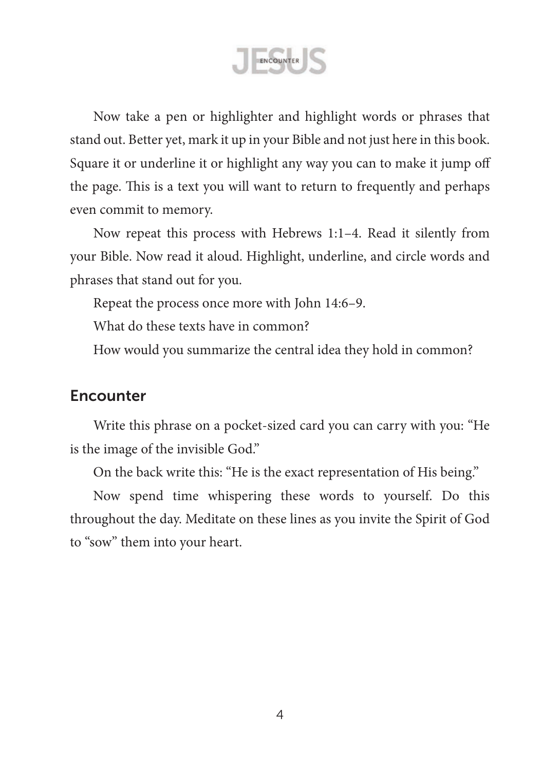ENCOUNTER

Now take a pen or highlighter and highlight words or phrases that stand out. Better yet, mark it up in your Bible and not just here in this book. Square it or underline it or highlight any way you can to make it jump off the page. This is a text you will want to return to frequently and perhaps even commit to memory.

Now repeat this process with Hebrews 1:1–4. Read it silently from your Bible. Now read it aloud. Highlight, underline, and circle words and phrases that stand out for you.

Repeat the process once more with John 14:6–9.

What do these texts have in common?

How would you summarize the central idea they hold in common?

### **Encounter**

Write this phrase on a pocket-sized card you can carry with you: "He is the image of the invisible God."

On the back write this: "He is the exact representation of His being."

Now spend time whispering these words to yourself. Do this throughout the day. Meditate on these lines as you invite the Spirit of God to "sow" them into your heart.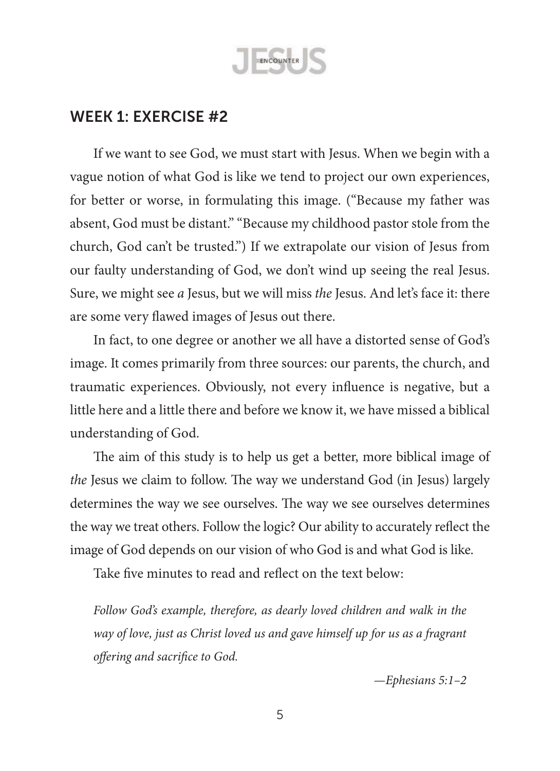

If we want to see God, we must start with Jesus. When we begin with a vague notion of what God is like we tend to project our own experiences, for better or worse, in formulating this image. ("Because my father was absent, God must be distant." "Because my childhood pastor stole from the church, God can't be trusted.") If we extrapolate our vision of Jesus from our faulty understanding of God, we don't wind up seeing the real Jesus. Sure, we might see *a* Jesus, but we will miss *the* Jesus. And let's face it: there are some very flawed images of Jesus out there.

In fact, to one degree or another we all have a distorted sense of God's image. It comes primarily from three sources: our parents, the church, and traumatic experiences. Obviously, not every influence is negative, but a little here and a little there and before we know it, we have missed a biblical understanding of God.

The aim of this study is to help us get a better, more biblical image of *the* Jesus we claim to follow. The way we understand God (in Jesus) largely determines the way we see ourselves. The way we see ourselves determines the way we treat others. Follow the logic? Our ability to accurately reflect the image of God depends on our vision of who God is and what God is like.

Take five minutes to read and reflect on the text below:

*Follow God's example, therefore, as dearly loved children and walk in the way of love, just as Christ loved us and gave himself up for us as a fragrant offering and sacrifice to God.*

*—Ephesians 5:1–2*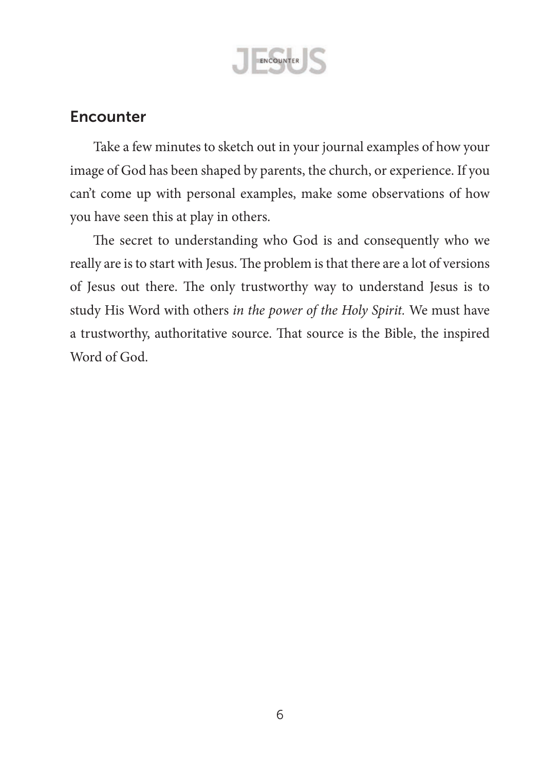

## **Encounter**

Take a few minutes to sketch out in your journal examples of how your image of God has been shaped by parents, the church, or experience. If you can't come up with personal examples, make some observations of how you have seen this at play in others.

The secret to understanding who God is and consequently who we really are is to start with Jesus. The problem is that there are a lot of versions of Jesus out there. The only trustworthy way to understand Jesus is to study His Word with others *in the power of the Holy Spirit.* We must have a trustworthy, authoritative source. That source is the Bible, the inspired Word of God.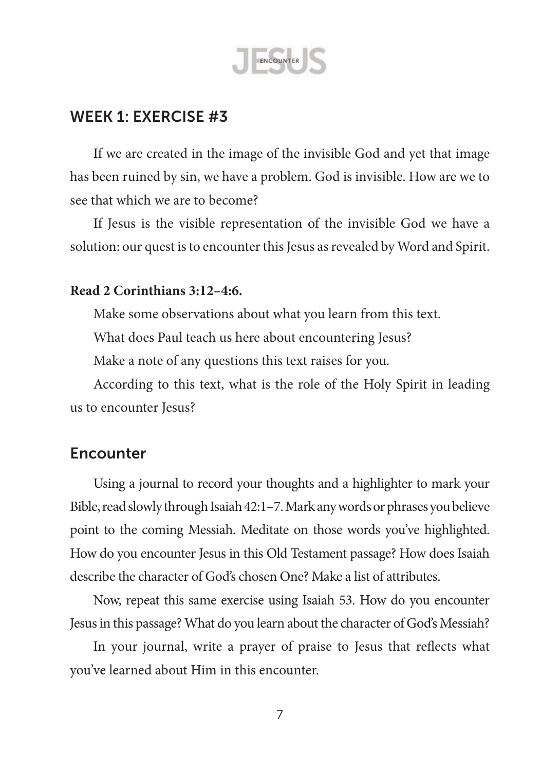

If we are created in the image of the invisible God and yet that image has been ruined by sin, we have a problem. God is invisible. How are we to see that which we are to become?

If Jesus is the visible representation of the invisible God we have a solution: our quest is to encounter this Jesus as revealed by Word and Spirit.

#### **Read 2 Corinthians 3:12–4:6.**

Make some observations about what you learn from this text.

What does Paul teach us here about encountering Jesus?

Make a note of any questions this text raises for you.

According to this text, what is the role of the Holy Spirit in leading us to encounter Jesus?

### **Encounter**

Using a journal to record your thoughts and a highlighter to mark your Bible, read slowly through Isaiah 42:1–7. Mark any words or phrases you believe point to the coming Messiah. Meditate on those words you've highlighted. How do you encounter Jesus in this Old Testament passage? How does Isaiah describe the character of God's chosen One? Make a list of attributes.

Now, repeat this same exercise using Isaiah 53. How do you encounter Jesus in this passage? What do you learn about the character of God's Messiah?

In your journal, write a prayer of praise to Jesus that reflects what you've learned about Him in this encounter.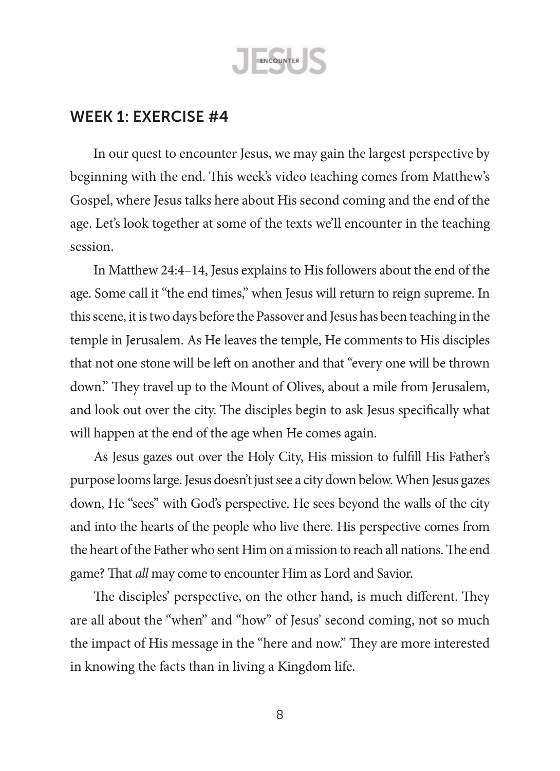

In our quest to encounter Jesus, we may gain the largest perspective by beginning with the end. This week's video teaching comes from Matthew's Gospel, where Jesus talks here about His second coming and the end of the age. Let's look together at some of the texts we'll encounter in the teaching session.

In Matthew 24:4–14, Jesus explains to His followers about the end of the age. Some call it "the end times," when Jesus will return to reign supreme. In this scene, it is two days before the Passover and Jesus has been teaching in the temple in Jerusalem. As He leaves the temple, He comments to His disciples that not one stone will be left on another and that "every one will be thrown down." They travel up to the Mount of Olives, about a mile from Jerusalem, and look out over the city. The disciples begin to ask Jesus specifically what will happen at the end of the age when He comes again.

As Jesus gazes out over the Holy City, His mission to fulfill His Father's purpose looms large. Jesus doesn't just see a city down below. When Jesus gazes down, He "sees" with God's perspective. He sees beyond the walls of the city and into the hearts of the people who live there. His perspective comes from the heart of the Father who sent Him on a mission to reach all nations. The end game? That *all* may come to encounter Him as Lord and Savior.

The disciples' perspective, on the other hand, is much different. They are all about the "when" and "how" of Jesus' second coming, not so much the impact of His message in the "here and now." They are more interested in knowing the facts than in living a Kingdom life.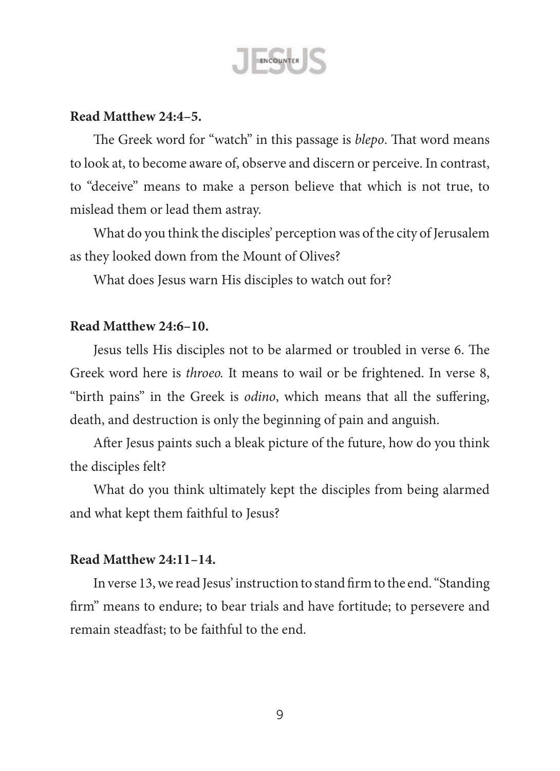

#### **Read Matthew 24:4–5.**

The Greek word for "watch" in this passage is *blepo*. That word means to look at, to become aware of, observe and discern or perceive. In contrast, to "deceive" means to make a person believe that which is not true, to mislead them or lead them astray.

What do you think the disciples' perception was of the city of Jerusalem as they looked down from the Mount of Olives?

What does Jesus warn His disciples to watch out for?

#### **Read Matthew 24:6–10.**

Jesus tells His disciples not to be alarmed or troubled in verse 6. The Greek word here is *throeo.* It means to wail or be frightened. In verse 8, "birth pains" in the Greek is *odino*, which means that all the suffering, death, and destruction is only the beginning of pain and anguish.

After Jesus paints such a bleak picture of the future, how do you think the disciples felt?

What do you think ultimately kept the disciples from being alarmed and what kept them faithful to Jesus?

#### **Read Matthew 24:11–14.**

In verse 13,we read Jesus' instruction to stand firm to the end."Standing firm" means to endure; to bear trials and have fortitude; to persevere and remain steadfast; to be faithful to the end.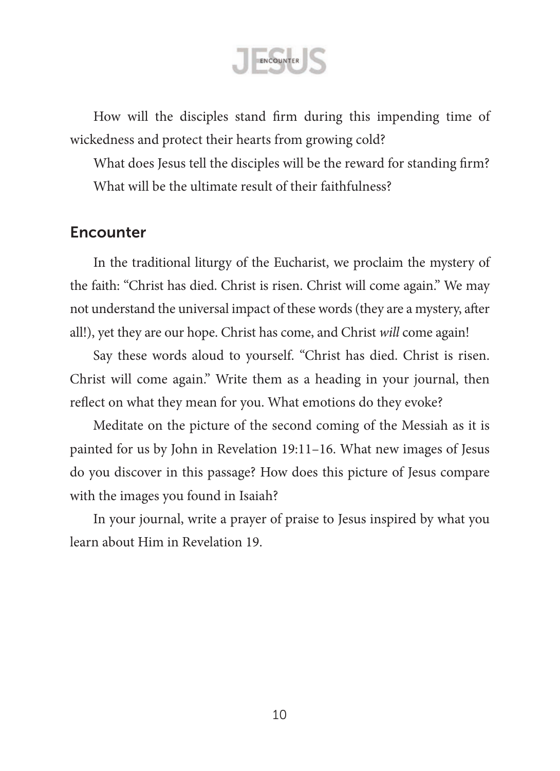ENCOUNTER

How will the disciples stand firm during this impending time of wickedness and protect their hearts from growing cold?

What does Jesus tell the disciples will be the reward for standing firm? What will be the ultimate result of their faithfulness?

### **Encounter**

In the traditional liturgy of the Eucharist, we proclaim the mystery of the faith: "Christ has died. Christ is risen. Christ will come again." We may not understand the universal impact of these words(they are a mystery, after all!), yet they are our hope. Christ has come, and Christ *will* come again!

Say these words aloud to yourself. "Christ has died. Christ is risen. Christ will come again." Write them as a heading in your journal, then reflect on what they mean for you. What emotions do they evoke?

Meditate on the picture of the second coming of the Messiah as it is painted for us by John in Revelation 19:11–16. What new images of Jesus do you discover in this passage? How does this picture of Jesus compare with the images you found in Isaiah?

In your journal, write a prayer of praise to Jesus inspired by what you learn about Him in Revelation 19.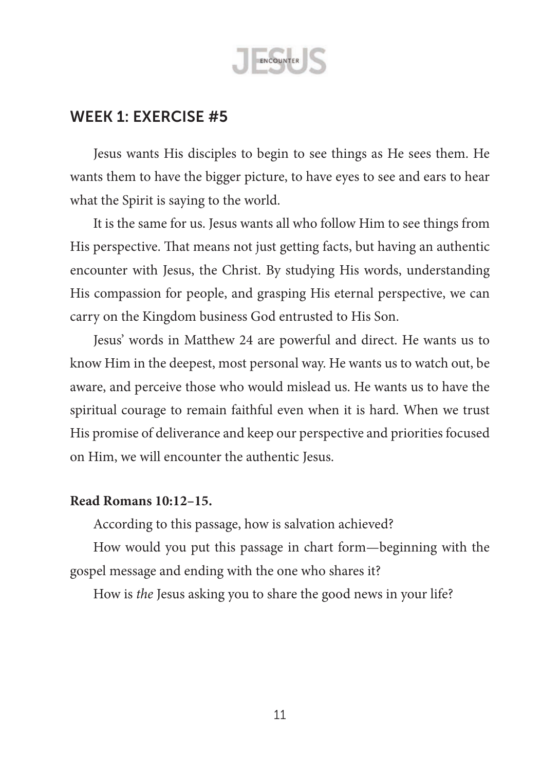

Jesus wants His disciples to begin to see things as He sees them. He wants them to have the bigger picture, to have eyes to see and ears to hear what the Spirit is saying to the world.

It is the same for us. Jesus wants all who follow Him to see things from His perspective. That means not just getting facts, but having an authentic encounter with Jesus, the Christ. By studying His words, understanding His compassion for people, and grasping His eternal perspective, we can carry on the Kingdom business God entrusted to His Son.

Jesus' words in Matthew 24 are powerful and direct. He wants us to know Him in the deepest, most personal way. He wants us to watch out, be aware, and perceive those who would mislead us. He wants us to have the spiritual courage to remain faithful even when it is hard. When we trust His promise of deliverance and keep our perspective and priorities focused on Him, we will encounter the authentic Jesus.

#### **Read Romans 10:12–15.**

According to this passage, how is salvation achieved?

How would you put this passage in chart form—beginning with the gospel message and ending with the one who shares it?

How is *the* Jesus asking you to share the good news in your life?